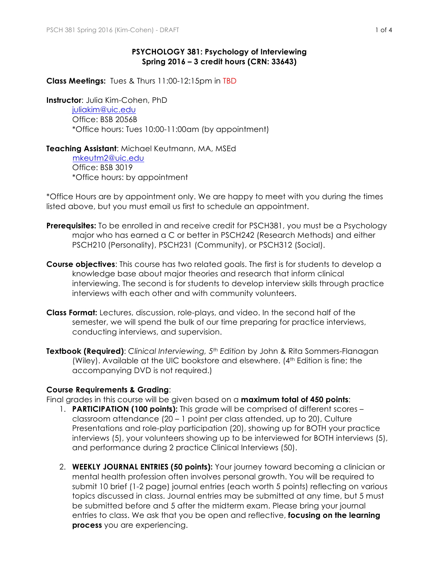## **PSYCHOLOGY 381: Psychology of Interviewing Spring 2016 – 3 credit hours (CRN: 33643)**

**Class Meetings:** Tues & Thurs 11:00-12:15pm in TBD

**Instructor**: Julia Kim-Cohen, PhD

juliakim@uic.edu Office: BSB 2056B \*Office hours: Tues 10:00-11:00am (by appointment)

## **Teaching Assistant**: Michael Keutmann, MA, MSEd

 mkeutm2@uic.edu Office: BSB 3019 \*Office hours: by appointment

\*Office Hours are by appointment only. We are happy to meet with you during the times listed above, but you must email us first to schedule an appointment.

- **Prerequisites:** To be enrolled in and receive credit for PSCH381, you must be a Psychology major who has earned a C or better in PSCH242 (Research Methods) and either PSCH210 (Personality), PSCH231 (Community), or PSCH312 (Social).
- **Course objectives**: This course has two related goals. The first is for students to develop a knowledge base about major theories and research that inform clinical interviewing. The second is for students to develop interview skills through practice interviews with each other and with community volunteers.
- **Class Format:** Lectures, discussion, role-plays, and video. In the second half of the semester, we will spend the bulk of our time preparing for practice interviews, conducting interviews, and supervision.
- **Textbook (Required)**: *Clinical Interviewing, 5th Edition* by John & Rita Sommers-Flanagan (Wiley). Available at the UIC bookstore and elsewhere. (4<sup>th</sup> Edition is fine; the accompanying DVD is not required.)

## **Course Requirements & Grading**:

Final grades in this course will be given based on a **maximum total of 450 points**:

- 1. **PARTICIPATION (100 points):** This grade will be comprised of different scores classroom attendance (20 – 1 point per class attended, up to 20), Culture Presentations and role-play participation (20), showing up for BOTH your practice interviews (5), your volunteers showing up to be interviewed for BOTH interviews (5), and performance during 2 practice Clinical Interviews (50).
- 2. **WEEKLY JOURNAL ENTRIES (50 points):** Your journey toward becoming a clinician or mental health profession often involves personal growth. You will be required to submit 10 brief (1-2 page) journal entries (each worth 5 points) reflecting on various topics discussed in class. Journal entries may be submitted at any time, but 5 must be submitted before and 5 after the midterm exam. Please bring your journal entries to class. We ask that you be open and reflective, **focusing on the learning process** you are experiencing.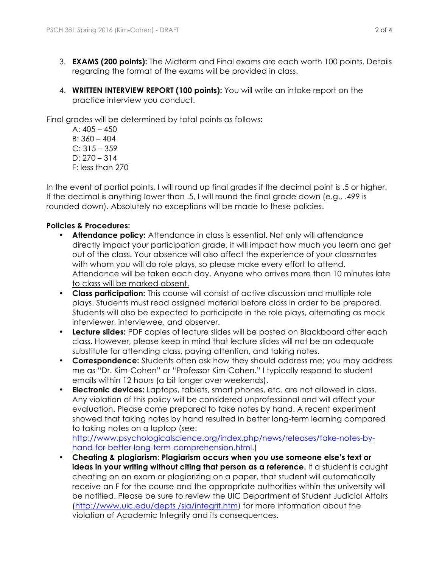- 3. **EXAMS (200 points):** The Midterm and Final exams are each worth 100 points. Details regarding the format of the exams will be provided in class.
- 4. **WRITTEN INTERVIEW REPORT (100 points):** You will write an intake report on the practice interview you conduct.

Final grades will be determined by total points as follows:

A:  $405 - 450$ B: 360 – 404  $C: 315 - 359$ D: 270 – 314 F: less than 270

In the event of partial points, I will round up final grades if the decimal point is .5 or higher. If the decimal is anything lower than .5, I will round the final grade down (e.g., .499 is rounded down). Absolutely no exceptions will be made to these policies.

# **Policies & Procedures:**

- **Attendance policy:** Attendance in class is essential. Not only will attendance directly impact your participation grade, it will impact how much you learn and get out of the class. Your absence will also affect the experience of your classmates with whom you will do role plays, so please make every effort to attend. Attendance will be taken each day. Anyone who arrives more than 10 minutes late to class will be marked absent.
- **Class participation:** This course will consist of active discussion and multiple role plays. Students must read assigned material before class in order to be prepared. Students will also be expected to participate in the role plays, alternating as mock interviewer, interviewee, and observer.
- **Lecture slides:** PDF copies of lecture slides will be posted on Blackboard after each class. However, please keep in mind that lecture slides will not be an adequate substitute for attending class, paying attention, and taking notes.
- **Correspondence:** Students often ask how they should address me; you may address me as "Dr. Kim-Cohen" or "Professor Kim-Cohen." I typically respond to student emails within 12 hours (a bit longer over weekends).
- **Electronic devices:** Laptops, tablets, smart phones, etc. are not allowed in class. Any violation of this policy will be considered unprofessional and will affect your evaluation. Please come prepared to take notes by hand. A recent experiment showed that taking notes by hand resulted in better long-term learning compared to taking notes on a laptop (see:

http://www.psychologicalscience.org/index.php/news/releases/take-notes-byhand-for-better-long-term-comprehension.html.)

• **Cheating & plagiarism**: **Plagiarism occurs when you use someone else's text or ideas in your writing without citing that person as a reference.** If a student is caught cheating on an exam or plagiarizing on a paper, that student will automatically receive an F for the course and the appropriate authorities within the university will be notified. Please be sure to review the UIC Department of Student Judicial Affairs (http://www.uic.edu/depts /sja/integrit.htm) for more information about the violation of Academic Integrity and its consequences.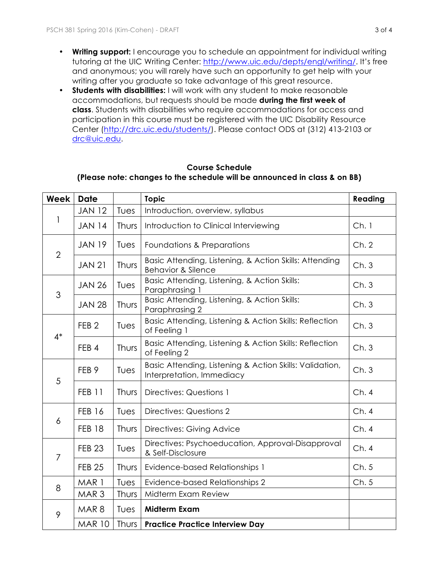- **Writing support:** I encourage you to schedule an appointment for individual writing tutoring at the UIC Writing Center: http://www.uic.edu/depts/engl/writing/. It's free and anonymous; you will rarely have such an opportunity to get help with your writing after you graduate so take advantage of this great resource.
- **Students with disabilities:** I will work with any student to make reasonable accommodations, but requests should be made **during the first week of class**. Students with disabilities who require accommodations for access and participation in this course must be registered with the UIC Disability Resource Center (http://drc.uic.edu/students/). Please contact ODS at (312) 413-2103 or drc@uic.edu.

## **Course Schedule**

## **(Please note: changes to the schedule will be announced in class & on BB)**

| Week           | <b>Date</b>      |       | <b>Topic</b>                                                                            | Reading |
|----------------|------------------|-------|-----------------------------------------------------------------------------------------|---------|
| 1              | <b>JAN 12</b>    | Tues  | Introduction, overview, syllabus                                                        |         |
|                | <b>JAN 14</b>    | Thurs | Introduction to Clinical Interviewing                                                   | Ch.1    |
| $\overline{2}$ | <b>JAN 19</b>    | Tues  | Foundations & Preparations                                                              | Ch.2    |
|                | <b>JAN 21</b>    | Thurs | Basic Attending, Listening, & Action Skills: Attending<br><b>Behavior &amp; Silence</b> | Ch.3    |
| 3              | <b>JAN 26</b>    | Tues  | Basic Attending, Listening, & Action Skills:<br>Paraphrasing 1                          | Ch.3    |
|                | <b>JAN 28</b>    | Thurs | Basic Attending, Listening, & Action Skills:<br>Paraphrasing 2                          | Ch.3    |
| $4^*$          | FEB <sub>2</sub> | Tues  | Basic Attending, Listening & Action Skills: Reflection<br>of Feeling 1                  | Ch.3    |
|                | FEB <sub>4</sub> | Thurs | Basic Attending, Listening & Action Skills: Reflection<br>of Feeling 2                  | Ch.3    |
| 5              | FEB <sub>9</sub> | Tues  | Basic Attending, Listening & Action Skills: Validation,<br>Interpretation, Immediacy    | Ch.3    |
|                | <b>FEB 11</b>    | Thurs | Directives: Questions 1                                                                 | Ch.4    |
| 6              | <b>FEB 16</b>    | Tues  | Directives: Questions 2                                                                 | Ch.4    |
|                | <b>FEB 18</b>    | Thurs | Directives: Giving Advice                                                               | Ch.4    |
| $\overline{7}$ | <b>FEB 23</b>    | Tues  | Directives: Psychoeducation, Approval-Disapproval<br>& Self-Disclosure                  | Ch.4    |
|                | <b>FEB 25</b>    | Thurs | <b>Evidence-based Relationships 1</b>                                                   | Ch.5    |
| 8              | MAR 1            | Tues  | Evidence-based Relationships 2                                                          | Ch.5    |
|                | MAR <sub>3</sub> | Thurs | Midterm Exam Review                                                                     |         |
| 9              | MAR <sub>8</sub> | Tues  | <b>Midterm Exam</b>                                                                     |         |
|                | <b>MAR 10</b>    |       | Thurs   Practice Practice Interview Day                                                 |         |